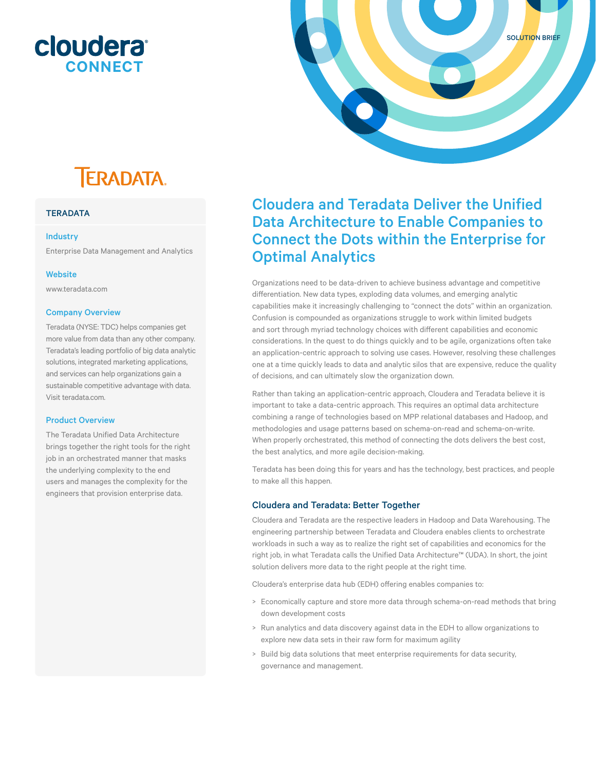### **cloudera CONNECT**



## **TERADATA.**

#### **TERADATA**

#### Industry

Enterprise Data Management and Analytics

#### **Website**

www.teradata.com

#### Company Overview

Teradata (NYSE: TDC) helps companies get more value from data than any other company. Teradata's leading portfolio of big data analytic solutions, integrated marketing applications, and services can help organizations gain a sustainable competitive advantage with data. Visit teradata.com.

#### Product Overview

The Teradata Unified Data Architecture brings together the right tools for the right job in an orchestrated manner that masks the underlying complexity to the end users and manages the complexity for the engineers that provision enterprise data.

### Cloudera and Teradata Deliver the Unified Data Architecture to Enable Companies to Connect the Dots within the Enterprise for Optimal Analytics

Organizations need to be data-driven to achieve business advantage and competitive diferentiation. New data types, exploding data volumes, and emerging analytic capabilities make it increasingly challenging to "connect the dots" within an organization. Confusion is compounded as organizations struggle to work within limited budgets and sort through myriad technology choices with diferent capabilities and economic considerations. In the quest to do things quickly and to be agile, organizations often take an application-centric approach to solving use cases. However, resolving these challenges one at a time quickly leads to data and analytic silos that are expensive, reduce the quality of decisions, and can ultimately slow the organization down.

Rather than taking an application-centric approach, Cloudera and Teradata believe it is important to take a data-centric approach. This requires an optimal data architecture combining a range of technologies based on MPP relational databases and Hadoop, and methodologies and usage patterns based on schema-on-read and schema-on-write. When properly orchestrated, this method of connecting the dots delivers the best cost, the best analytics, and more agile decision-making.

Teradata has been doing this for years and has the technology, best practices, and people to make all this happen.

#### Cloudera and Teradata: Better Together

Cloudera and Teradata are the respective leaders in Hadoop and Data Warehousing. The engineering partnership between Teradata and Cloudera enables clients to orchestrate workloads in such a way as to realize the right set of capabilities and economics for the right job, in what Teradata calls the Unified Data Architecture™ (UDA). In short, the joint solution delivers more data to the right people at the right time.

Cloudera's enterprise data hub (EDH) offering enables companies to:

- > Economically capture and store more data through schema-on-read methods that bring down development costs
- > Run analytics and data discovery against data in the EDH to allow organizations to explore new data sets in their raw form for maximum agility
- > Build big data solutions that meet enterprise requirements for data security, governance and management.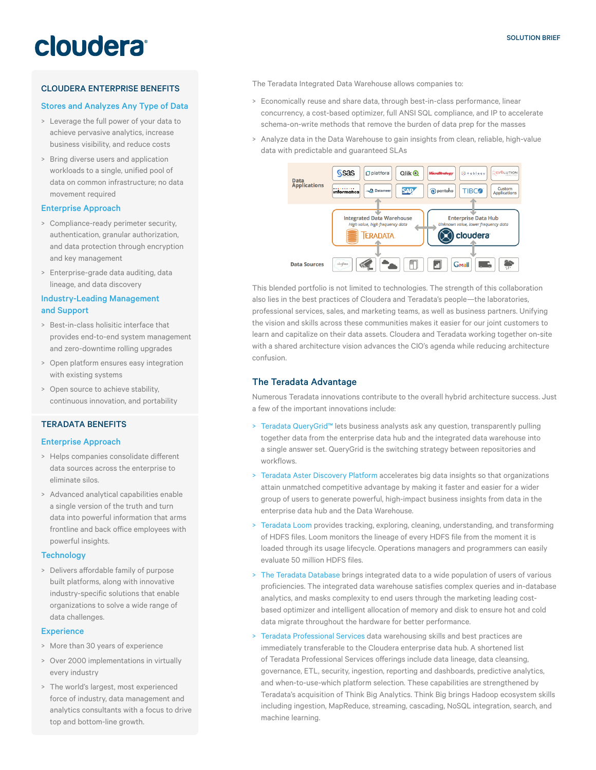# cloudera

#### CLOUDERA ENTERPRISE BENEFITS

#### Stores and Analyzes Any Type of Data

- > Leverage the full power of your data to achieve pervasive analytics, increase business visibility, and reduce costs
- > Bring diverse users and application workloads to a single, unified pool of data on common infrastructure; no data movement required

#### Enterprise Approach

- > Compliance-ready perimeter security, authentication, granular authorization, and data protection through encryption and key management
- > Enterprise-grade data auditing, data lineage, and data discovery

#### Industry-Leading Management and Support

- > Best-in-class holisitic interface that provides end-to-end system management and zero-downtime rolling upgrades
- > Open platform ensures easy integration with existing systems
- > Open source to achieve stability, continuous innovation, and portability

#### TERADATA BENEFITS

#### Enterprise Approach

- > Helps companies consolidate diferent data sources across the enterprise to eliminate silos.
- > Advanced analytical capabilities enable a single version of the truth and turn data into powerful information that arms frontline and back ofice employees with powerful insights.

#### **Technology**

> Delivers afordable family of purpose built platforms, along with innovative industry-specific solutions that enable organizations to solve a wide range of data challenges.

#### **Experience**

- > More than 30 years of experience
- > Over 2000 implementations in virtually every industry
- > The world's largest, most experienced force of industry, data management and analytics consultants with a focus to drive top and bottom-line growth.

The Teradata Integrated Data Warehouse allows companies to:

- > Economically reuse and share data, through best-in-class performance, linear concurrency, a cost-based optimizer, full ANSI SQL compliance, and IP to accelerate schema-on-write methods that remove the burden of data prep for the masses
- > Analyze data in the Data Warehouse to gain insights from clean, reliable, high-value data with predictable and guaranteed SLAs



This blended portfolio is not limited to technologies. The strength of this collaboration also lies in the best practices of Cloudera and Teradata's people—the laboratories, professional services, sales, and marketing teams, as well as business partners. Unifying the vision and skills across these communities makes it easier for our joint customers to learn and capitalize on their data assets. Cloudera and Teradata working together on-site with a shared architecture vision advances the CIO's agenda while reducing architecture confusion.

#### The Teradata Advantage

Numerous Teradata innovations contribute to the overall hybrid architecture success. Just a few of the important innovations include:

- > Teradata QueryGrid™ lets business analysts ask any question, transparently pulling together data from the enterprise data hub and the integrated data warehouse into a single answer set. QueryGrid is the switching strategy between repositories and workflows.
- > Teradata Aster Discovery Platform accelerates big data insights so that organizations attain unmatched competitive advantage by making it faster and easier for a wider group of users to generate powerful, high-impact business insights from data in the enterprise data hub and the Data Warehouse.
- Teradata Loom provides tracking, exploring, cleaning, understanding, and transforming of HDFS files. Loom monitors the lineage of every HDFS file from the moment it is loaded through its usage lifecycle. Operations managers and programmers can easily evaluate 50 million HDFS files.
- > The Teradata Database brings integrated data to a wide population of users of various proficiencies. The integrated data warehouse satisfies complex queries and in-database analytics, and masks complexity to end users through the marketing leading costbased optimizer and intelligent allocation of memory and disk to ensure hot and cold data migrate throughout the hardware for better performance.
- > Teradata Professional Services data warehousing skills and best practices are immediately transferable to the Cloudera enterprise data hub. A shortened list of Teradata Professional Services offerings include data lineage, data cleansing, governance, ETL, security, ingestion, reporting and dashboards, predictive analytics, and when-to-use-which platform selection. These capabilities are strengthened by Teradata's acquisition of Think Big Analytics. Think Big brings Hadoop ecosystem skills including ingestion, MapReduce, streaming, cascading, NoSQL integration, search, and machine learning.